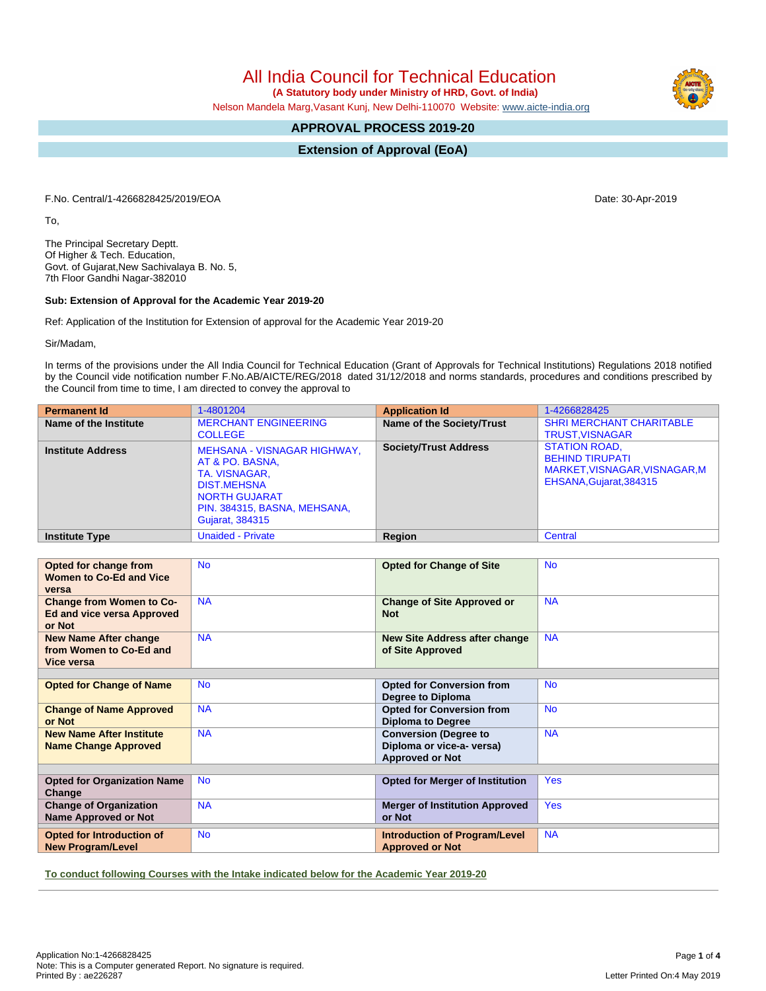All India Council for Technical Education

 **(A Statutory body under Ministry of HRD, Govt. of India)**

Nelson Mandela Marg,Vasant Kunj, New Delhi-110070 Website: [www.aicte-india.org](http://www.aicte-india.org)

# **APPROVAL PROCESS 2019-20**

**Extension of Approval (EoA)**

F.No. Central/1-4266828425/2019/EOA Date: 30-Apr-2019

To,

The Principal Secretary Deptt. Of Higher & Tech. Education, Govt. of Gujarat,New Sachivalaya B. No. 5, 7th Floor Gandhi Nagar-382010

#### **Sub: Extension of Approval for the Academic Year 2019-20**

Ref: Application of the Institution for Extension of approval for the Academic Year 2019-20

Sir/Madam,

In terms of the provisions under the All India Council for Technical Education (Grant of Approvals for Technical Institutions) Regulations 2018 notified by the Council vide notification number F.No.AB/AICTE/REG/2018 dated 31/12/2018 and norms standards, procedures and conditions prescribed by the Council from time to time, I am directed to convey the approval to

| <b>Permanent Id</b>      | 1-4801204                                                                                                                                                               | <b>Application Id</b>        | 1-4266828425                                                                                               |
|--------------------------|-------------------------------------------------------------------------------------------------------------------------------------------------------------------------|------------------------------|------------------------------------------------------------------------------------------------------------|
| Name of the Institute    | <b>MERCHANT ENGINEERING</b><br><b>COLLEGE</b>                                                                                                                           | Name of the Society/Trust    | <b>SHRI MERCHANT CHARITABLE</b><br><b>TRUST, VISNAGAR</b>                                                  |
| <b>Institute Address</b> | <b>MEHSANA - VISNAGAR HIGHWAY,</b><br>AT & PO. BASNA,<br>TA. VISNAGAR,<br><b>DIST.MEHSNA</b><br><b>NORTH GUJARAT</b><br>PIN. 384315, BASNA, MEHSANA,<br>Gujarat, 384315 | <b>Society/Trust Address</b> | <b>STATION ROAD.</b><br><b>BEHIND TIRUPATI</b><br>MARKET, VISNAGAR, VISNAGAR, M<br>EHSANA, Gujarat, 384315 |
| <b>Institute Type</b>    | <b>Unaided - Private</b>                                                                                                                                                | Region                       | Central                                                                                                    |

| Opted for change from                                                          | <b>No</b> | <b>Opted for Change of Site</b>                                                     | <b>No</b>  |  |  |  |  |
|--------------------------------------------------------------------------------|-----------|-------------------------------------------------------------------------------------|------------|--|--|--|--|
| <b>Women to Co-Ed and Vice</b><br>versa                                        |           |                                                                                     |            |  |  |  |  |
| <b>Change from Women to Co-</b><br><b>Ed and vice versa Approved</b><br>or Not | <b>NA</b> | <b>Change of Site Approved or</b><br><b>Not</b>                                     | <b>NA</b>  |  |  |  |  |
| <b>New Name After change</b><br>from Women to Co-Ed and<br>Vice versa          | <b>NA</b> | <b>New Site Address after change</b><br>of Site Approved                            | <b>NA</b>  |  |  |  |  |
|                                                                                |           |                                                                                     |            |  |  |  |  |
| <b>Opted for Change of Name</b>                                                | <b>No</b> | <b>Opted for Conversion from</b><br>Degree to Diploma                               | <b>No</b>  |  |  |  |  |
| <b>Change of Name Approved</b><br>or Not                                       | <b>NA</b> | <b>Opted for Conversion from</b><br><b>Diploma to Degree</b>                        | <b>No</b>  |  |  |  |  |
| <b>New Name After Institute</b><br><b>Name Change Approved</b>                 | <b>NA</b> | <b>Conversion (Degree to</b><br>Diploma or vice-a- versa)<br><b>Approved or Not</b> | <b>NA</b>  |  |  |  |  |
|                                                                                |           |                                                                                     |            |  |  |  |  |
| <b>Opted for Organization Name</b><br>Change                                   | <b>No</b> | <b>Opted for Merger of Institution</b>                                              | <b>Yes</b> |  |  |  |  |
| <b>Change of Organization</b><br><b>Name Approved or Not</b>                   | <b>NA</b> | <b>Merger of Institution Approved</b><br>or Not                                     | <b>Yes</b> |  |  |  |  |
| <b>Opted for Introduction of</b><br><b>New Program/Level</b>                   | <b>No</b> | <b>Introduction of Program/Level</b><br><b>Approved or Not</b>                      | <b>NA</b>  |  |  |  |  |

**To conduct following Courses with the Intake indicated below for the Academic Year 2019-20**

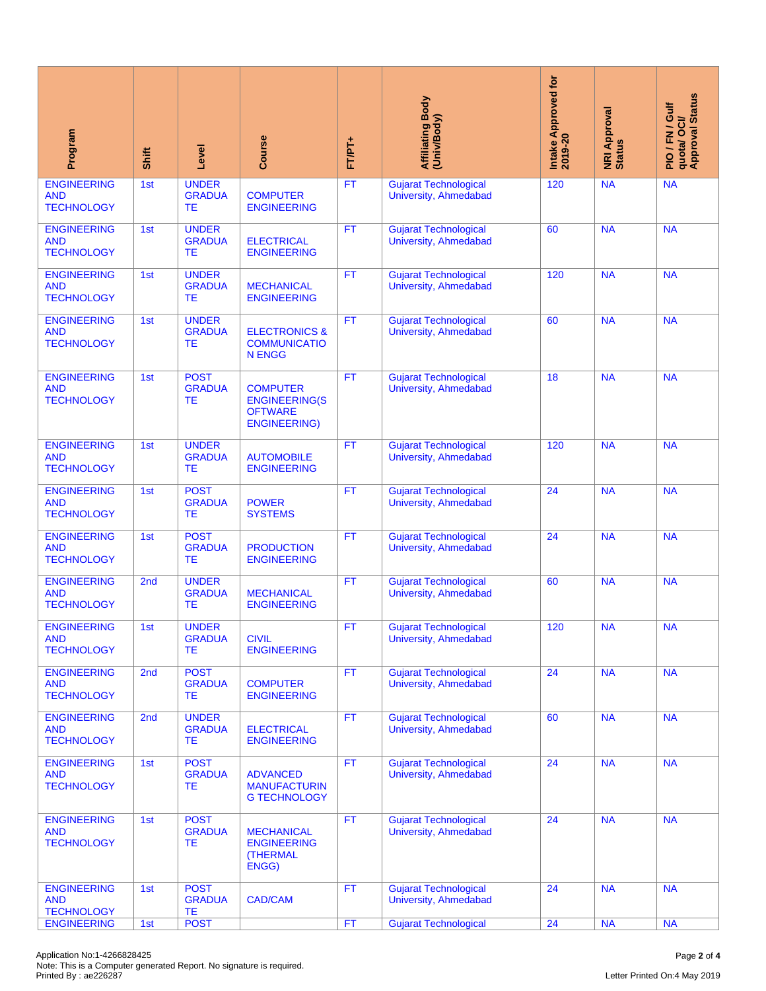| Program                                                                                                                     | Shift | Level                                      | Course                                                                           | FT/PT+    | Affiliating Body<br>(Univ/Body)                              | Intake Approved for<br>2019-20 | <b>NRI Approval</b><br>Status | quota/ OCI/<br>Approval Status<br>PIO/FN/Gulf |
|-----------------------------------------------------------------------------------------------------------------------------|-------|--------------------------------------------|----------------------------------------------------------------------------------|-----------|--------------------------------------------------------------|--------------------------------|-------------------------------|-----------------------------------------------|
| <b>ENGINEERING</b><br><b>AND</b><br><b>TECHNOLOGY</b>                                                                       | 1st   | <b>UNDER</b><br><b>GRADUA</b><br><b>TE</b> | <b>COMPUTER</b><br><b>ENGINEERING</b>                                            | FT        | <b>Gujarat Technological</b><br><b>University, Ahmedabad</b> | 120                            | <b>NA</b>                     | <b>NA</b>                                     |
| <b>ENGINEERING</b><br><b>AND</b><br><b>TECHNOLOGY</b>                                                                       | 1st   | <b>UNDER</b><br><b>GRADUA</b><br>ТE        | <b>ELECTRICAL</b><br><b>ENGINEERING</b>                                          | <b>FT</b> | <b>Gujarat Technological</b><br>University, Ahmedabad        | 60                             | <b>NA</b>                     | <b>NA</b>                                     |
| <b>ENGINEERING</b><br><b>AND</b><br><b>TECHNOLOGY</b>                                                                       | 1st   | <b>UNDER</b><br><b>GRADUA</b><br>ТE        | <b>MECHANICAL</b><br><b>ENGINEERING</b>                                          | <b>FT</b> | <b>Gujarat Technological</b><br><b>University, Ahmedabad</b> | 120                            | <b>NA</b>                     | <b>NA</b>                                     |
| <b>ENGINEERING</b><br><b>AND</b><br><b>TECHNOLOGY</b>                                                                       | 1st   | <b>UNDER</b><br><b>GRADUA</b><br>ТE        | <b>ELECTRONICS &amp;</b><br><b>COMMUNICATIO</b><br><b>N ENGG</b>                 | <b>FT</b> | <b>Gujarat Technological</b><br><b>University, Ahmedabad</b> | 60                             | <b>NA</b>                     | <b>NA</b>                                     |
| <b>ENGINEERING</b><br><b>AND</b><br><b>TECHNOLOGY</b>                                                                       | 1st   | <b>POST</b><br><b>GRADUA</b><br>TЕ         | <b>COMPUTER</b><br><b>ENGINEERING(S</b><br><b>OFTWARE</b><br><b>ENGINEERING)</b> | <b>FT</b> | <b>Gujarat Technological</b><br><b>University, Ahmedabad</b> | 18                             | <b>NA</b>                     | <b>NA</b>                                     |
| <b>ENGINEERING</b><br><b>AND</b><br><b>TECHNOLOGY</b>                                                                       | 1st   | <b>UNDER</b><br><b>GRADUA</b><br><b>TE</b> | <b>AUTOMOBILE</b><br><b>ENGINEERING</b>                                          | <b>FT</b> | <b>Gujarat Technological</b><br><b>University, Ahmedabad</b> | 120                            | <b>NA</b>                     | <b>NA</b>                                     |
| <b>ENGINEERING</b><br><b>AND</b><br><b>TECHNOLOGY</b>                                                                       | 1st   | <b>POST</b><br><b>GRADUA</b><br><b>TE</b>  | <b>POWER</b><br><b>SYSTEMS</b>                                                   | <b>FT</b> | <b>Gujarat Technological</b><br><b>University, Ahmedabad</b> | 24                             | <b>NA</b>                     | <b>NA</b>                                     |
| <b>ENGINEERING</b><br><b>AND</b><br><b>TECHNOLOGY</b>                                                                       | 1st   | <b>POST</b><br><b>GRADUA</b><br><b>TE</b>  | <b>PRODUCTION</b><br><b>ENGINEERING</b>                                          | <b>FT</b> | <b>Gujarat Technological</b><br>University, Ahmedabad        | 24                             | <b>NA</b>                     | <b>NA</b>                                     |
| <b>ENGINEERING</b><br><b>AND</b><br><b>TECHNOLOGY</b>                                                                       | 2nd   | <b>UNDER</b><br><b>GRADUA</b><br>TЕ        | <b>MECHANICAL</b><br><b>ENGINEERING</b>                                          | <b>FT</b> | <b>Gujarat Technological</b><br><b>University, Ahmedabad</b> | 60                             | <b>NA</b>                     | <b>NA</b>                                     |
| <b>ENGINEERING</b><br><b>AND</b><br><b>TECHNOLOGY</b>                                                                       | 1st   | <b>UNDER</b><br><b>GRADUA</b><br><b>TE</b> | <b>CIVIL</b><br><b>ENGINEERING</b>                                               | FT        | <b>Gujarat Technological</b><br><b>University, Ahmedabad</b> | 120                            | <b>NA</b>                     | <b>NA</b>                                     |
| <b>ENGINEERING</b><br><b>AND</b><br><b>TECHNOLOGY</b>                                                                       | 2nd   | <b>POST</b><br><b>GRADUA</b><br>TЕ         | <b>COMPUTER</b><br><b>ENGINEERING</b>                                            | <b>FT</b> | <b>Gujarat Technological</b><br>University, Ahmedabad        | 24                             | <b>NA</b>                     | <b>NA</b>                                     |
| <b>ENGINEERING</b><br><b>AND</b><br><b>TECHNOLOGY</b>                                                                       | 2nd   | <b>UNDER</b><br><b>GRADUA</b><br><b>TE</b> | <b>ELECTRICAL</b><br><b>ENGINEERING</b>                                          | <b>FT</b> | <b>Gujarat Technological</b><br>University, Ahmedabad        | 60                             | <b>NA</b>                     | <b>NA</b>                                     |
| <b>ENGINEERING</b><br><b>AND</b><br><b>TECHNOLOGY</b>                                                                       | 1st   | <b>POST</b><br><b>GRADUA</b><br>TЕ         | <b>ADVANCED</b><br><b>MANUFACTURIN</b><br><b>G TECHNOLOGY</b>                    | <b>FT</b> | <b>Gujarat Technological</b><br>University, Ahmedabad        | 24                             | <b>NA</b>                     | <b>NA</b>                                     |
| <b>ENGINEERING</b><br><b>AND</b><br><b>TECHNOLOGY</b>                                                                       | 1st   | <b>POST</b><br><b>GRADUA</b><br>TЕ         | <b>MECHANICAL</b><br><b>ENGINEERING</b><br><b>(THERMAL</b><br>ENGG)              | FT.       | <b>Gujarat Technological</b><br><b>University, Ahmedabad</b> | 24                             | <b>NA</b>                     | <b>NA</b>                                     |
| <b>ENGINEERING</b><br><b>AND</b><br><b>TECHNOLOGY</b>                                                                       | 1st   | <b>POST</b><br><b>GRADUA</b><br>TE         | <b>CAD/CAM</b>                                                                   | <b>FT</b> | <b>Gujarat Technological</b><br><b>University, Ahmedabad</b> | 24                             | <b>NA</b>                     | <b>NA</b>                                     |
| <b>ENGINEERING</b>                                                                                                          | 1st   | <b>POST</b>                                |                                                                                  | <b>FT</b> | <b>Gujarat Technological</b>                                 | 24                             | <b>NA</b>                     | <b>NA</b>                                     |
| Application No:1-4266828425<br>Note: This is a Computer generated Report. No signature is required.<br>Printed By: ae226287 |       |                                            |                                                                                  |           |                                                              |                                |                               | Page 2 of 4<br>Letter Printed On:4 May 2019   |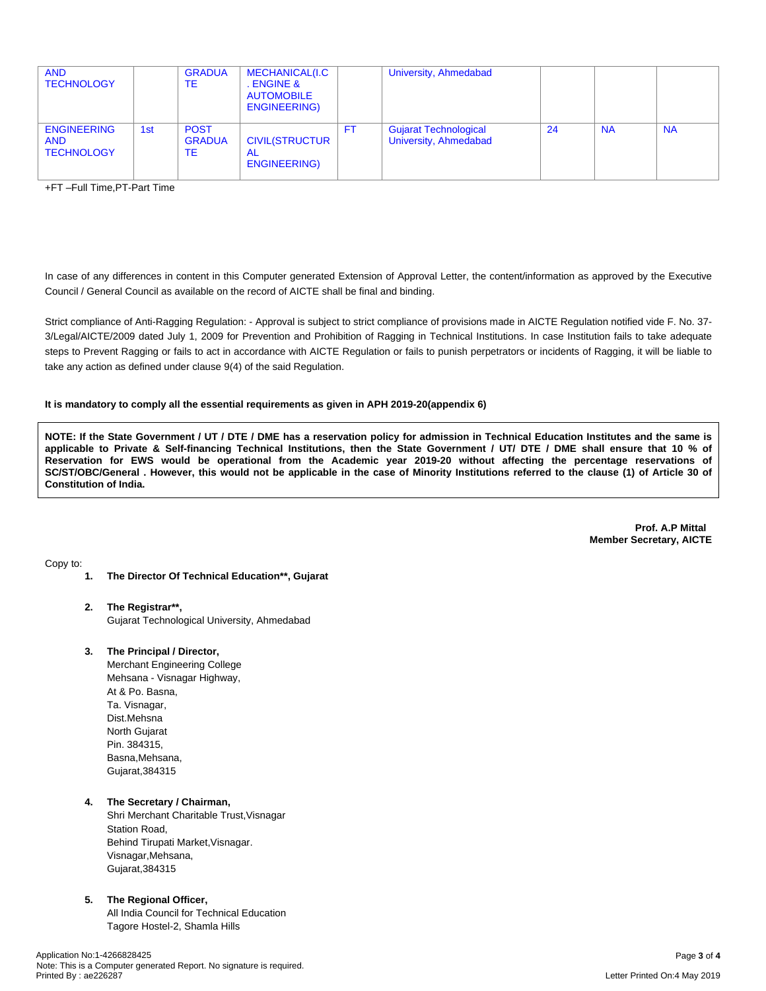| <b>AND</b><br><b>TECHNOLOGY</b>                       |     | <b>GRADUA</b><br>ТE                | MECHANICAL(I.C<br>. ENGINE &<br><b>AUTOMOBILE</b><br>ENGINEERING) |     | University, Ahmedabad                                 |     |           |           |
|-------------------------------------------------------|-----|------------------------------------|-------------------------------------------------------------------|-----|-------------------------------------------------------|-----|-----------|-----------|
| <b>ENGINEERING</b><br><b>AND</b><br><b>TECHNOLOGY</b> | 1st | <b>POST</b><br><b>GRADUA</b><br>ТE | <b>CIVIL(STRUCTUR</b><br>AL<br>ENGINEERING)                       | FT. | <b>Gujarat Technological</b><br>University, Ahmedabad | -24 | <b>NA</b> | <b>NA</b> |

+FT –Full Time,PT-Part Time

In case of any differences in content in this Computer generated Extension of Approval Letter, the content/information as approved by the Executive Council / General Council as available on the record of AICTE shall be final and binding.

Strict compliance of Anti-Ragging Regulation: - Approval is subject to strict compliance of provisions made in AICTE Regulation notified vide F. No. 37- 3/Legal/AICTE/2009 dated July 1, 2009 for Prevention and Prohibition of Ragging in Technical Institutions. In case Institution fails to take adequate steps to Prevent Ragging or fails to act in accordance with AICTE Regulation or fails to punish perpetrators or incidents of Ragging, it will be liable to take any action as defined under clause 9(4) of the said Regulation.

#### **It is mandatory to comply all the essential requirements as given in APH 2019-20(appendix 6)**

NOTE: If the State Government / UT / DTE / DME has a reservation policy for admission in Technical Education Institutes and the same is applicable to Private & Self-financing Technical Institutions, then the State Government / UT/ DTE / DME shall ensure that 10 % of Reservation for EWS would be operational from the Academic year 2019-20 without affecting the percentage reservations of SC/ST/OBC/General . However, this would not be applicable in the case of Minority Institutions referred to the clause (1) of Article 30 of **Constitution of India.**

> **Prof. A.P Mittal Member Secretary, AICTE**

Copy to:

- **1. The Director Of Technical Education\*\*, Gujarat**
- **2. The Registrar\*\*,** Gujarat Technological University, Ahmedabad
- **3. The Principal / Director,**

Merchant Engineering College Mehsana - Visnagar Highway, At & Po. Basna, Ta. Visnagar, Dist.Mehsna North Gujarat Pin. 384315, Basna,Mehsana, Gujarat,384315

**4. The Secretary / Chairman,** Shri Merchant Charitable Trust,Visnagar Station Road, Behind Tirupati Market,Visnagar. Visnagar,Mehsana, Gujarat,384315

### **5. The Regional Officer,**

All India Council for Technical Education Tagore Hostel-2, Shamla Hills